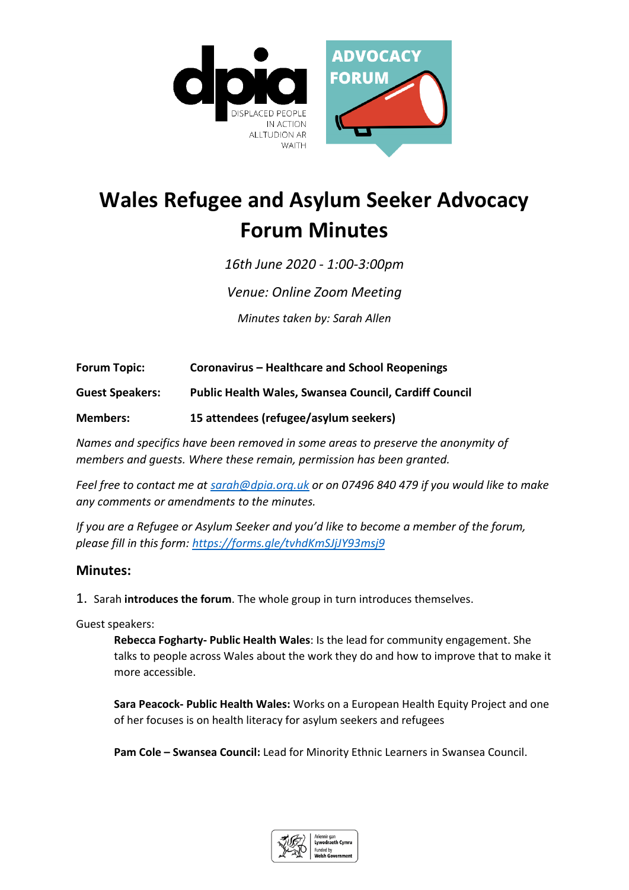

## **Wales Refugee and Asylum Seeker Advocacy Forum Minutes**

*16th June 2020 - 1:00-3:00pm* 

*Venue: Online Zoom Meeting*

*Minutes taken by: Sarah Allen*

**Forum Topic: Coronavirus – Healthcare and School Reopenings**

**Guest Speakers: Public Health Wales, Swansea Council, Cardiff Council**

**Members: 15 attendees (refugee/asylum seekers)**

*Names and specifics have been removed in some areas to preserve the anonymity of members and guests. Where these remain, permission has been granted.*

*Feel free to contact me at [sarah@dpia.org.uk](mailto:sarah@dpia.org.uk) or on 07496 840 479 if you would like to make any comments or amendments to the minutes.* 

*If you are a Refugee or Asylum Seeker and you'd like to become a member of the forum, please fill in this form:<https://forms.gle/tvhdKmSJjJY93msj9>*

## **Minutes:**

1. Sarah **introduces the forum**. The whole group in turn introduces themselves.

Guest speakers:

**Rebecca Fogharty- Public Health Wales**: Is the lead for community engagement. She talks to people across Wales about the work they do and how to improve that to make it more accessible.

**Sara Peacock- Public Health Wales:** Works on a European Health Equity Project and one of her focuses is on health literacy for asylum seekers and refugees

**Pam Cole – Swansea Council:** Lead for Minority Ethnic Learners in Swansea Council.

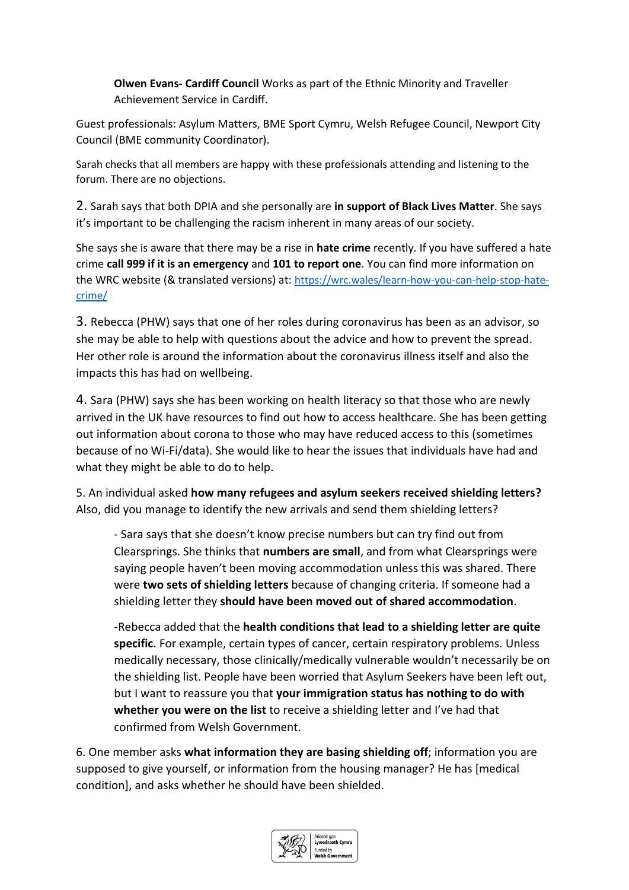**Olwen Evans- Cardiff Council** Works as part of the Ethnic Minority and Traveller Achievement Service in Cardiff.

Guest professionals: Asylum Matters, BME Sport Cymru, Welsh Refugee Council, Newport City Council (BME community Coordinator).

Sarah checks that all members are happy with these professionals attending and listening to the forum. There are no objections.

2. Sarah says that both DPIA and she personally are **in support of Black Lives Matter**. She says it's important to be challenging the racism inherent in many areas of our society.

She says she is aware that there may be a rise in **hate crime** recently. If you have suffered a hate crime **call 999 if it is an emergency** and **101 to report one**. You can find more information on the WRC website (& translated versions) at: [https://wrc.wales/learn-how-you-can-help-stop-hate](https://wrc.wales/learn-how-you-can-help-stop-hate-crime/)[crime/](https://wrc.wales/learn-how-you-can-help-stop-hate-crime/)

3. Rebecca (PHW) says that one of her roles during coronavirus has been as an advisor, so she may be able to help with questions about the advice and how to prevent the spread. Her other role is around the information about the coronavirus illness itself and also the impacts this has had on wellbeing.

4. Sara (PHW) says she has been working on health literacy so that those who are newly arrived in the UK have resources to find out how to access healthcare. She has been getting out information about corona to those who may have reduced access to this (sometimes because of no Wi-Fi/data). She would like to hear the issues that individuals have had and what they might be able to do to help.

5. An individual asked **how many refugees and asylum seekers received shielding letters?** Also, did you manage to identify the new arrivals and send them shielding letters?

- Sara says that she doesn't know precise numbers but can try find out from Clearsprings. She thinks that **numbers are small**, and from what Clearsprings were saying people haven't been moving accommodation unless this was shared. There were **two sets of shielding letters** because of changing criteria. If someone had a shielding letter they **should have been moved out of shared accommodation**.

-Rebecca added that the **health conditions that lead to a shielding letter are quite specific**. For example, certain types of cancer, certain respiratory problems. Unless medically necessary, those clinically/medically vulnerable wouldn't necessarily be on the shielding list. People have been worried that Asylum Seekers have been left out, but I want to reassure you that **your immigration status has nothing to do with whether you were on the list** to receive a shielding letter and I've had that confirmed from Welsh Government.

6. One member asks **what information they are basing shielding off**; information you are supposed to give yourself, or information from the housing manager? He has [medical condition], and asks whether he should have been shielded.

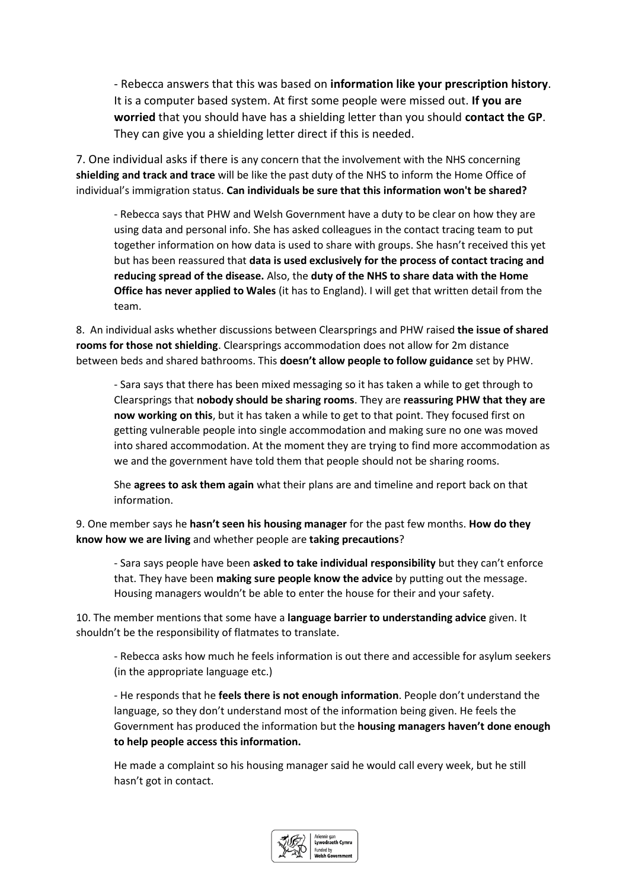- Rebecca answers that this was based on **information like your prescription history**. It is a computer based system. At first some people were missed out. **If you are worried** that you should have has a shielding letter than you should **contact the GP**. They can give you a shielding letter direct if this is needed.

7. One individual asks if there is any concern that the involvement with the NHS concerning **shielding and track and trace** will be like the past duty of the NHS to inform the Home Office of individual's immigration status. **Can individuals be sure that this information won't be shared?**

- Rebecca says that PHW and Welsh Government have a duty to be clear on how they are using data and personal info. She has asked colleagues in the contact tracing team to put together information on how data is used to share with groups. She hasn't received this yet but has been reassured that **data is used exclusively for the process of contact tracing and reducing spread of the disease.** Also, the **duty of the NHS to share data with the Home Office has never applied to Wales** (it has to England). I will get that written detail from the team.

8. An individual asks whether discussions between Clearsprings and PHW raised **the issue of shared rooms for those not shielding**. Clearsprings accommodation does not allow for 2m distance between beds and shared bathrooms. This **doesn't allow people to follow guidance** set by PHW.

- Sara says that there has been mixed messaging so it has taken a while to get through to Clearsprings that **nobody should be sharing rooms**. They are **reassuring PHW that they are now working on this**, but it has taken a while to get to that point. They focused first on getting vulnerable people into single accommodation and making sure no one was moved into shared accommodation. At the moment they are trying to find more accommodation as we and the government have told them that people should not be sharing rooms.

She **agrees to ask them again** what their plans are and timeline and report back on that information.

9. One member says he **hasn't seen his housing manager** for the past few months. **How do they know how we are living** and whether people are **taking precautions**?

- Sara says people have been **asked to take individual responsibility** but they can't enforce that. They have been **making sure people know the advice** by putting out the message. Housing managers wouldn't be able to enter the house for their and your safety.

10. The member mentions that some have a **language barrier to understanding advice** given. It shouldn't be the responsibility of flatmates to translate.

- Rebecca asks how much he feels information is out there and accessible for asylum seekers (in the appropriate language etc.)

- He responds that he **feels there is not enough information**. People don't understand the language, so they don't understand most of the information being given. He feels the Government has produced the information but the **housing managers haven't done enough to help people access this information.**

He made a complaint so his housing manager said he would call every week, but he still hasn't got in contact.

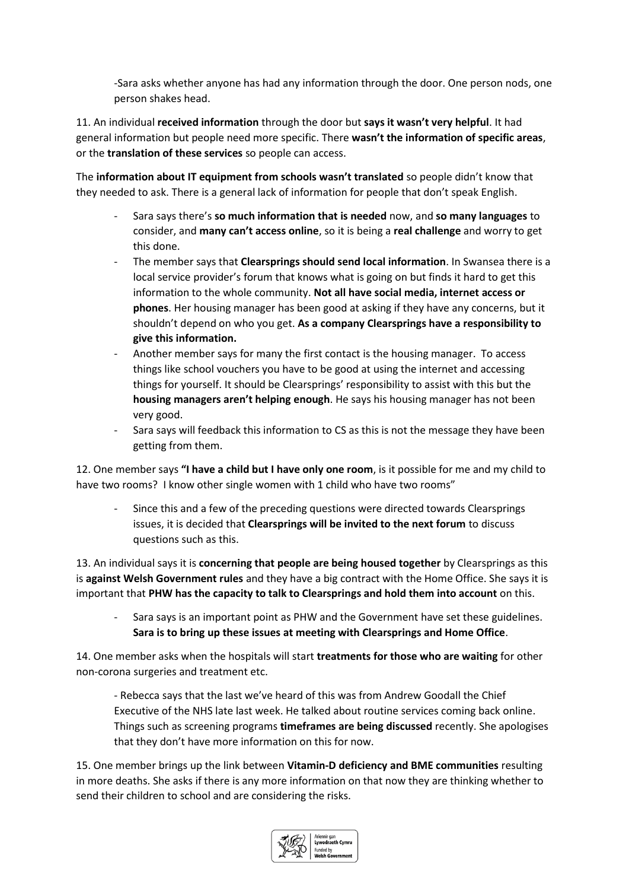-Sara asks whether anyone has had any information through the door. One person nods, one person shakes head.

11. An individual **received information** through the door but **says it wasn't very helpful**. It had general information but people need more specific. There **wasn't the information of specific areas**, or the **translation of these services** so people can access.

The **information about IT equipment from schools wasn't translated** so people didn't know that they needed to ask. There is a general lack of information for people that don't speak English.

- Sara says there's **so much information that is needed** now, and **so many languages** to consider, and **many can't access online**, so it is being a **real challenge** and worry to get this done.
- The member says that **Clearsprings should send local information**. In Swansea there is a local service provider's forum that knows what is going on but finds it hard to get this information to the whole community. **Not all have social media, internet access or phones**. Her housing manager has been good at asking if they have any concerns, but it shouldn't depend on who you get. **As a company Clearsprings have a responsibility to give this information.**
- Another member says for many the first contact is the housing manager. To access things like school vouchers you have to be good at using the internet and accessing things for yourself. It should be Clearsprings' responsibility to assist with this but the **housing managers aren't helping enough**. He says his housing manager has not been very good.
- Sara says will feedback this information to CS as this is not the message they have been getting from them.

12. One member says **"I have a child but I have only one room**, is it possible for me and my child to have two rooms? I know other single women with 1 child who have two rooms"

Since this and a few of the preceding questions were directed towards Clearsprings issues, it is decided that **Clearsprings will be invited to the next forum** to discuss questions such as this.

13. An individual says it is **concerning that people are being housed together** by Clearsprings as this is **against Welsh Government rules** and they have a big contract with the Home Office. She says it is important that **PHW has the capacity to talk to Clearsprings and hold them into account** on this.

Sara says is an important point as PHW and the Government have set these guidelines. **Sara is to bring up these issues at meeting with Clearsprings and Home Office**.

14. One member asks when the hospitals will start **treatments for those who are waiting** for other non-corona surgeries and treatment etc.

- Rebecca says that the last we've heard of this was from Andrew Goodall the Chief Executive of the NHS late last week. He talked about routine services coming back online. Things such as screening programs **timeframes are being discussed** recently. She apologises that they don't have more information on this for now.

15. One member brings up the link between **Vitamin-D deficiency and BME communities** resulting in more deaths. She asks if there is any more information on that now they are thinking whether to send their children to school and are considering the risks.

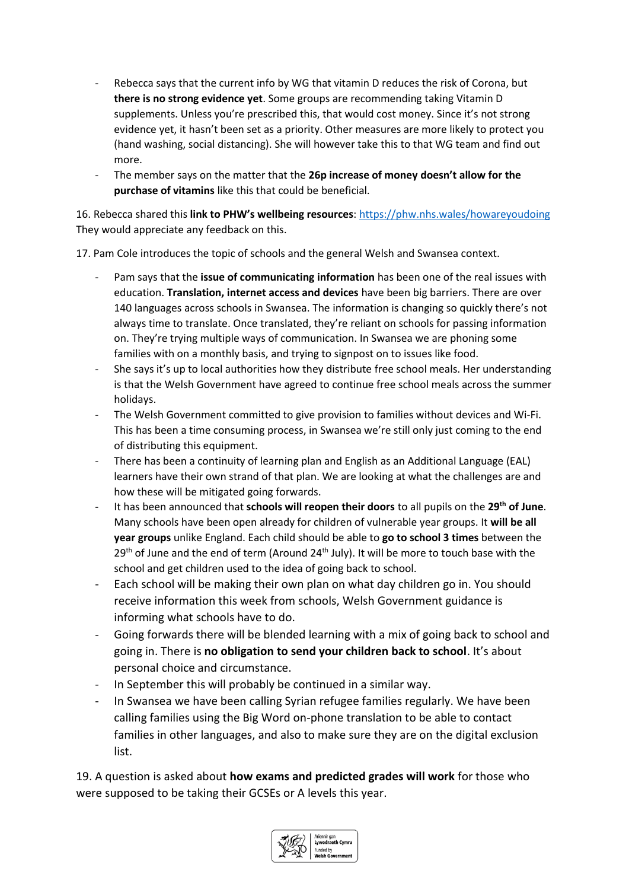- Rebecca says that the current info by WG that vitamin D reduces the risk of Corona, but **there is no strong evidence yet**. Some groups are recommending taking Vitamin D supplements. Unless you're prescribed this, that would cost money. Since it's not strong evidence yet, it hasn't been set as a priority. Other measures are more likely to protect you (hand washing, social distancing). She will however take this to that WG team and find out more.
- The member says on the matter that the **26p increase of money doesn't allow for the purchase of vitamins** like this that could be beneficial.

16. Rebecca shared this **link to PHW's wellbeing resources**: <https://phw.nhs.wales/howareyoudoing> They would appreciate any feedback on this.

17. Pam Cole introduces the topic of schools and the general Welsh and Swansea context.

- Pam says that the **issue of communicating information** has been one of the real issues with education. **Translation, internet access and devices** have been big barriers. There are over 140 languages across schools in Swansea. The information is changing so quickly there's not always time to translate. Once translated, they're reliant on schools for passing information on. They're trying multiple ways of communication. In Swansea we are phoning some families with on a monthly basis, and trying to signpost on to issues like food.
- She says it's up to local authorities how they distribute free school meals. Her understanding is that the Welsh Government have agreed to continue free school meals across the summer holidays.
- The Welsh Government committed to give provision to families without devices and Wi-Fi. This has been a time consuming process, in Swansea we're still only just coming to the end of distributing this equipment.
- There has been a continuity of learning plan and English as an Additional Language (EAL) learners have their own strand of that plan. We are looking at what the challenges are and how these will be mitigated going forwards.
- It has been announced that **schools will reopen their doors** to all pupils on the **29th of June**. Many schools have been open already for children of vulnerable year groups. It **will be all year groups** unlike England. Each child should be able to **go to school 3 times** between the  $29<sup>th</sup>$  of June and the end of term (Around  $24<sup>th</sup>$  July). It will be more to touch base with the school and get children used to the idea of going back to school.
- Each school will be making their own plan on what day children go in. You should receive information this week from schools, Welsh Government guidance is informing what schools have to do.
- Going forwards there will be blended learning with a mix of going back to school and going in. There is **no obligation to send your children back to school**. It's about personal choice and circumstance.
- In September this will probably be continued in a similar way.
- In Swansea we have been calling Syrian refugee families regularly. We have been calling families using the Big Word on-phone translation to be able to contact families in other languages, and also to make sure they are on the digital exclusion list.

19. A question is asked about **how exams and predicted grades will work** for those who were supposed to be taking their GCSEs or A levels this year.

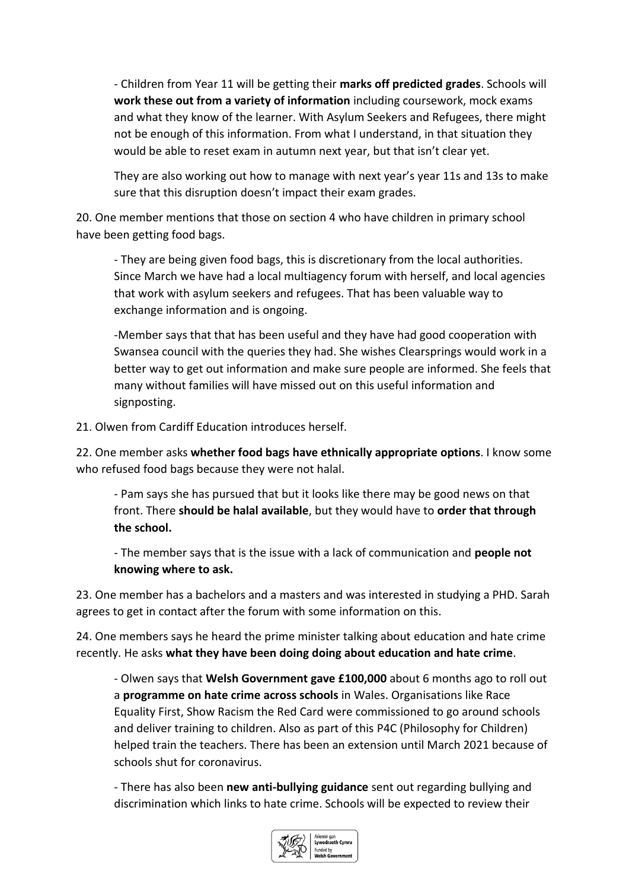- Children from Year 11 will be getting their **marks off predicted grades**. Schools will **work these out from a variety of information** including coursework, mock exams and what they know of the learner. With Asylum Seekers and Refugees, there might not be enough of this information. From what I understand, in that situation they would be able to reset exam in autumn next year, but that isn't clear yet.

They are also working out how to manage with next year's year 11s and 13s to make sure that this disruption doesn't impact their exam grades.

20. One member mentions that those on section 4 who have children in primary school have been getting food bags.

- They are being given food bags, this is discretionary from the local authorities. Since March we have had a local multiagency forum with herself, and local agencies that work with asylum seekers and refugees. That has been valuable way to exchange information and is ongoing.

-Member says that that has been useful and they have had good cooperation with Swansea council with the queries they had. She wishes Clearsprings would work in a better way to get out information and make sure people are informed. She feels that many without families will have missed out on this useful information and signposting.

21. Olwen from Cardiff Education introduces herself.

22. One member asks **whether food bags have ethnically appropriate options**. I know some who refused food bags because they were not halal.

- Pam says she has pursued that but it looks like there may be good news on that front. There **should be halal available**, but they would have to **order that through the school.** 

- The member says that is the issue with a lack of communication and **people not knowing where to ask.** 

23. One member has a bachelors and a masters and was interested in studying a PHD. Sarah agrees to get in contact after the forum with some information on this.

24. One members says he heard the prime minister talking about education and hate crime recently. He asks **what they have been doing doing about education and hate crime**.

- Olwen says that **Welsh Government gave £100,000** about 6 months ago to roll out a **programme on hate crime across schools** in Wales. Organisations like Race Equality First, Show Racism the Red Card were commissioned to go around schools and deliver training to children. Also as part of this P4C (Philosophy for Children) helped train the teachers. There has been an extension until March 2021 because of schools shut for coronavirus.

- There has also been **new anti-bullying guidance** sent out regarding bullying and discrimination which links to hate crime. Schools will be expected to review their

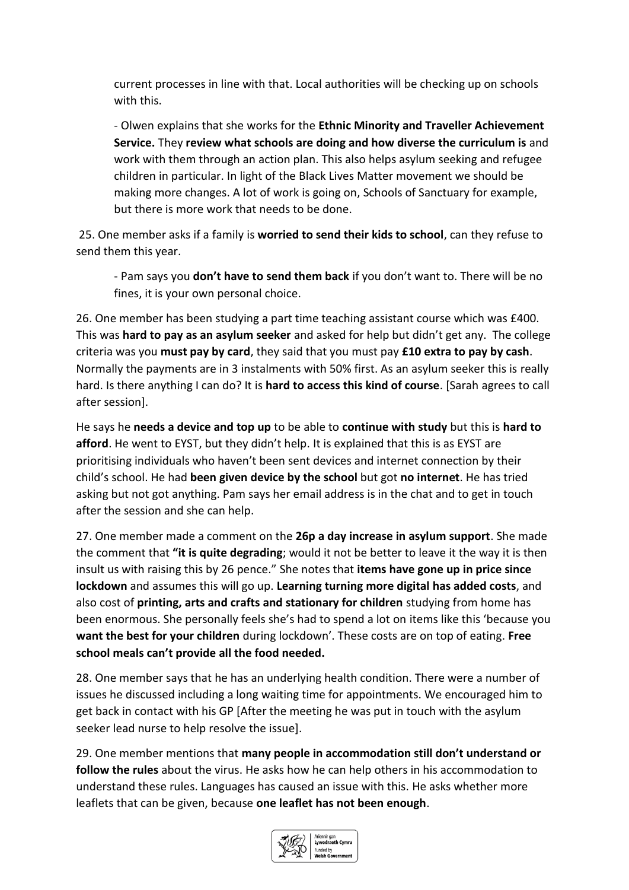current processes in line with that. Local authorities will be checking up on schools with this.

- Olwen explains that she works for the **Ethnic Minority and Traveller Achievement Service.** They **review what schools are doing and how diverse the curriculum is** and work with them through an action plan. This also helps asylum seeking and refugee children in particular. In light of the Black Lives Matter movement we should be making more changes. A lot of work is going on, Schools of Sanctuary for example, but there is more work that needs to be done.

25. One member asks if a family is **worried to send their kids to school**, can they refuse to send them this year.

- Pam says you **don't have to send them back** if you don't want to. There will be no fines, it is your own personal choice.

26. One member has been studying a part time teaching assistant course which was £400. This was **hard to pay as an asylum seeker** and asked for help but didn't get any. The college criteria was you **must pay by card**, they said that you must pay **£10 extra to pay by cash**. Normally the payments are in 3 instalments with 50% first. As an asylum seeker this is really hard. Is there anything I can do? It is **hard to access this kind of course**. [Sarah agrees to call after session].

He says he **needs a device and top up** to be able to **continue with study** but this is **hard to afford**. He went to EYST, but they didn't help. It is explained that this is as EYST are prioritising individuals who haven't been sent devices and internet connection by their child's school. He had **been given device by the school** but got **no internet**. He has tried asking but not got anything. Pam says her email address is in the chat and to get in touch after the session and she can help.

27. One member made a comment on the **26p a day increase in asylum support**. She made the comment that **"it is quite degrading**; would it not be better to leave it the way it is then insult us with raising this by 26 pence." She notes that **items have gone up in price since lockdown** and assumes this will go up. **Learning turning more digital has added costs**, and also cost of **printing, arts and crafts and stationary for children** studying from home has been enormous. She personally feels she's had to spend a lot on items like this 'because you **want the best for your children** during lockdown'. These costs are on top of eating. **Free school meals can't provide all the food needed.**

28. One member says that he has an underlying health condition. There were a number of issues he discussed including a long waiting time for appointments. We encouraged him to get back in contact with his GP [After the meeting he was put in touch with the asylum seeker lead nurse to help resolve the issue].

29. One member mentions that **many people in accommodation still don't understand or follow the rules** about the virus. He asks how he can help others in his accommodation to understand these rules. Languages has caused an issue with this. He asks whether more leaflets that can be given, because **one leaflet has not been enough**.